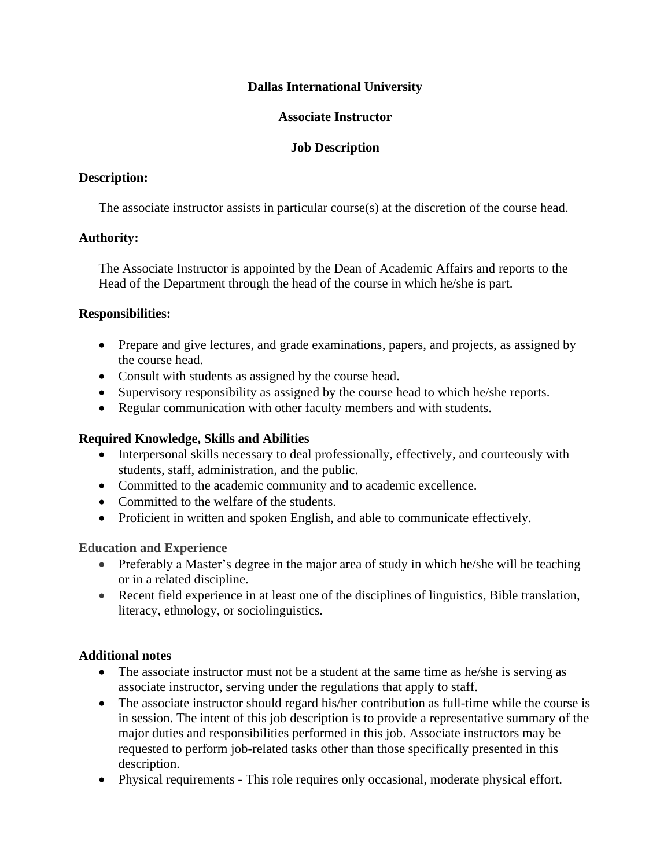# **Dallas International University**

## **Associate Instructor**

### **Job Description**

#### **Description:**

The associate instructor assists in particular course(s) at the discretion of the course head.

### **Authority:**

The Associate Instructor is appointed by the Dean of Academic Affairs and reports to the Head of the Department through the head of the course in which he/she is part.

### **Responsibilities:**

- Prepare and give lectures, and grade examinations, papers, and projects, as assigned by the course head.
- Consult with students as assigned by the course head.
- Supervisory responsibility as assigned by the course head to which he/she reports.
- Regular communication with other faculty members and with students.

# **Required Knowledge, Skills and Abilities**

- Interpersonal skills necessary to deal professionally, effectively, and courteously with students, staff, administration, and the public.
- Committed to the academic community and to academic excellence.
- Committed to the welfare of the students.
- Proficient in written and spoken English, and able to communicate effectively.

#### **Education and Experience**

- Preferably a Master's degree in the major area of study in which he/she will be teaching or in a related discipline.
- Recent field experience in at least one of the disciplines of linguistics, Bible translation, literacy, ethnology, or sociolinguistics.

#### **Additional notes**

- The associate instructor must not be a student at the same time as he/she is serving as associate instructor, serving under the regulations that apply to staff.
- The associate instructor should regard his/her contribution as full-time while the course is in session. The intent of this job description is to provide a representative summary of the major duties and responsibilities performed in this job. Associate instructors may be requested to perform job-related tasks other than those specifically presented in this description.
- Physical requirements This role requires only occasional, moderate physical effort.